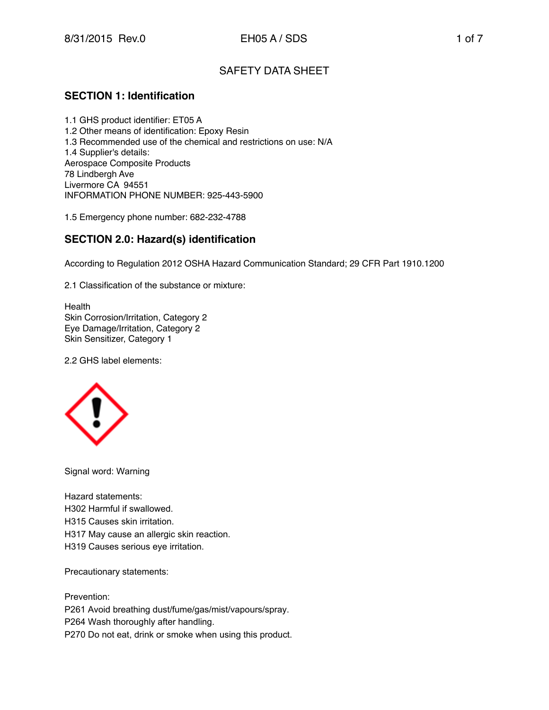# SAFETY DATA SHEET

## **SECTION 1: Identification**

1.1 GHS product identifier: ET05 A 1.2 Other means of identification: Epoxy Resin 1.3 Recommended use of the chemical and restrictions on use: N/A 1.4 Supplier's details: Aerospace Composite Products 78 Lindbergh Ave Livermore CA 94551 INFORMATION PHONE NUMBER: 925-443-5900

1.5 Emergency phone number: 682-232-4788

## **SECTION 2.0: Hazard(s) identification**

According to Regulation 2012 OSHA Hazard Communication Standard; 29 CFR Part 1910.1200

2.1 Classification of the substance or mixture:

**Health** Skin Corrosion/Irritation, Category 2 Eye Damage/Irritation, Category 2 Skin Sensitizer, Category 1

2.2 GHS label elements:



Signal word: Warning

Hazard statements: H302 Harmful if swallowed. H315 Causes skin irritation. H317 May cause an allergic skin reaction. H319 Causes serious eye irritation.

Precautionary statements:

Prevention: P261 Avoid breathing dust/fume/gas/mist/vapours/spray. P264 Wash thoroughly after handling. P270 Do not eat, drink or smoke when using this product.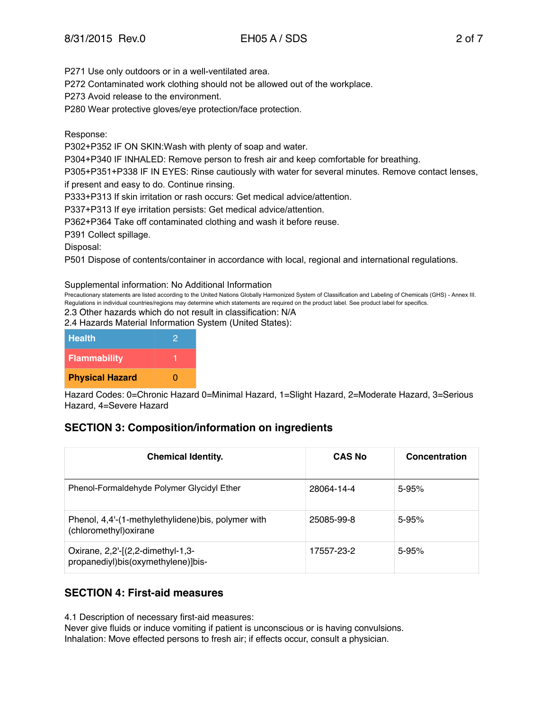P271 Use only outdoors or in a well-ventilated area.

P272 Contaminated work clothing should not be allowed out of the workplace.

P273 Avoid release to the environment.

P280 Wear protective gloves/eye protection/face protection.

#### Response:

P302+P352 IF ON SKIN:Wash with plenty of soap and water.

P304+P340 IF INHALED: Remove person to fresh air and keep comfortable for breathing.

P305+P351+P338 IF IN EYES: Rinse cautiously with water for several minutes. Remove contact lenses,

if present and easy to do. Continue rinsing.

P333+P313 If skin irritation or rash occurs: Get medical advice/attention.

P337+P313 If eye irritation persists: Get medical advice/attention.

P362+P364 Take off contaminated clothing and wash it before reuse.

P391 Collect spillage.

Disposal:

P501 Dispose of contents/container in accordance with local, regional and international regulations.

Supplemental information: No Additional Information

Precautionary statements are listed according to the United Nations Globally Harmonized System of Classification and Labeling of Chemicals (GHS) - Annex III. Regulations in individual countries/regions may determine which statements are required on the product label. See product label for specifics.

2.3 Other hazards which do not result in classification: N/A

2.4 Hazards Material Information System (United States):

| <b>Health</b>          |   |
|------------------------|---|
| <b>Flammability</b>    |   |
| <b>Physical Hazard</b> | 0 |

Hazard Codes: 0=Chronic Hazard 0=Minimal Hazard, 1=Slight Hazard, 2=Moderate Hazard, 3=Serious Hazard, 4=Severe Hazard

## **SECTION 3: Composition/information on ingredients**

| <b>Chemical Identity.</b>                                                     | <b>CAS No</b> | Concentration |
|-------------------------------------------------------------------------------|---------------|---------------|
| Phenol-Formaldehyde Polymer Glycidyl Ether                                    | 28064-14-4    | $5 - 95%$     |
| Phenol, 4,4'-(1-methylethylidene) bis, polymer with<br>(chloromethyl) oxirane | 25085-99-8    | $5 - 95%$     |
| Oxirane, 2,2'-[(2,2-dimethyl-1,3-<br>propanediyl)bis(oxymethylene)]bis-       | 17557-23-2    | $5 - 95%$     |

## **SECTION 4: First-aid measures**

4.1 Description of necessary first-aid measures:

Never give fluids or induce vomiting if patient is unconscious or is having convulsions. Inhalation: Move effected persons to fresh air; if effects occur, consult a physician.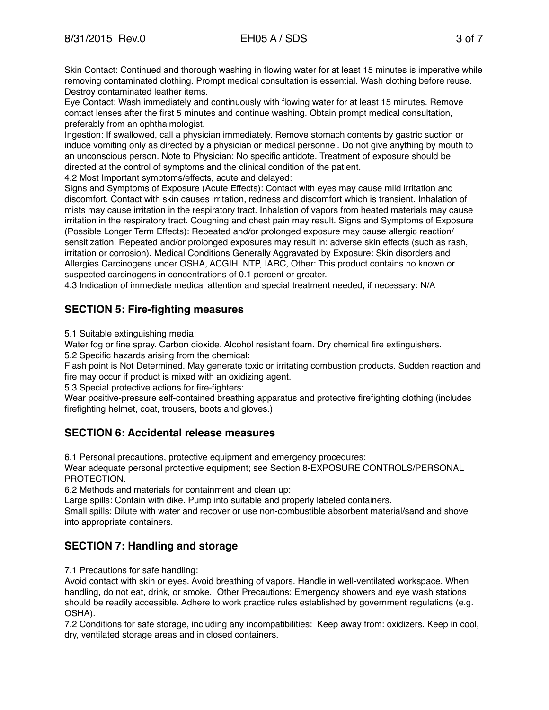Skin Contact: Continued and thorough washing in flowing water for at least 15 minutes is imperative while removing contaminated clothing. Prompt medical consultation is essential. Wash clothing before reuse. Destroy contaminated leather items.

Eye Contact: Wash immediately and continuously with flowing water for at least 15 minutes. Remove contact lenses after the first 5 minutes and continue washing. Obtain prompt medical consultation, preferably from an ophthalmologist.

Ingestion: If swallowed, call a physician immediately. Remove stomach contents by gastric suction or induce vomiting only as directed by a physician or medical personnel. Do not give anything by mouth to an unconscious person. Note to Physician: No specific antidote. Treatment of exposure should be directed at the control of symptoms and the clinical condition of the patient.

4.2 Most Important symptoms/effects, acute and delayed:

Signs and Symptoms of Exposure (Acute Effects): Contact with eyes may cause mild irritation and discomfort. Contact with skin causes irritation, redness and discomfort which is transient. Inhalation of mists may cause irritation in the respiratory tract. Inhalation of vapors from heated materials may cause irritation in the respiratory tract. Coughing and chest pain may result. Signs and Symptoms of Exposure (Possible Longer Term Effects): Repeated and/or prolonged exposure may cause allergic reaction/ sensitization. Repeated and/or prolonged exposures may result in: adverse skin effects (such as rash, irritation or corrosion). Medical Conditions Generally Aggravated by Exposure: Skin disorders and Allergies Carcinogens under OSHA, ACGIH, NTP, IARC, Other: This product contains no known or suspected carcinogens in concentrations of 0.1 percent or greater.

4.3 Indication of immediate medical attention and special treatment needed, if necessary: N/A

# **SECTION 5: Fire-fighting measures**

5.1 Suitable extinguishing media:

Water fog or fine spray. Carbon dioxide. Alcohol resistant foam. Dry chemical fire extinguishers. 5.2 Specific hazards arising from the chemical:

Flash point is Not Determined. May generate toxic or irritating combustion products. Sudden reaction and fire may occur if product is mixed with an oxidizing agent.

5.3 Special protective actions for fire-fighters:

Wear positive-pressure self-contained breathing apparatus and protective firefighting clothing (includes firefighting helmet, coat, trousers, boots and gloves.)

## **SECTION 6: Accidental release measures**

6.1 Personal precautions, protective equipment and emergency procedures:

Wear adequate personal protective equipment; see Section 8-EXPOSURE CONTROLS/PERSONAL PROTECTION.

6.2 Methods and materials for containment and clean up:

Large spills: Contain with dike. Pump into suitable and properly labeled containers.

Small spills: Dilute with water and recover or use non-combustible absorbent material/sand and shovel into appropriate containers.

# **SECTION 7: Handling and storage**

7.1 Precautions for safe handling:

Avoid contact with skin or eyes. Avoid breathing of vapors. Handle in well-ventilated workspace. When handling, do not eat, drink, or smoke. Other Precautions: Emergency showers and eye wash stations should be readily accessible. Adhere to work practice rules established by government regulations (e.g. OSHA).

7.2 Conditions for safe storage, including any incompatibilities: Keep away from: oxidizers. Keep in cool, dry, ventilated storage areas and in closed containers.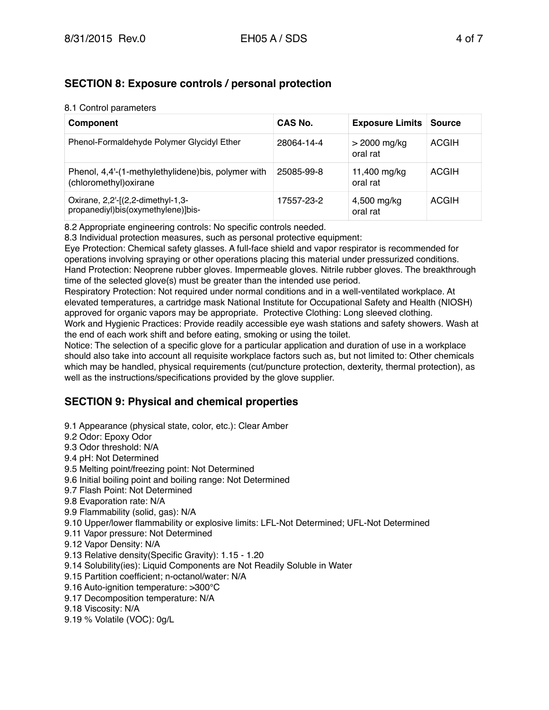# **SECTION 8: Exposure controls / personal protection**

#### 8.1 Control parameters

| Component                                                                     | CAS No.    | <b>Exposure Limits</b>     | <b>Source</b> |
|-------------------------------------------------------------------------------|------------|----------------------------|---------------|
| Phenol-Formaldehyde Polymer Glycidyl Ether                                    | 28064-14-4 | $>$ 2000 mg/kg<br>oral rat | <b>ACGIH</b>  |
| Phenol, 4,4'-(1-methylethylidene) bis, polymer with<br>(chloromethyl) oxirane | 25085-99-8 | 11,400 mg/kg<br>oral rat   | <b>ACGIH</b>  |
| Oxirane, 2,2'-[(2,2-dimethyl-1,3-<br>propanediyl)bis(oxymethylene)]bis-       | 17557-23-2 | 4,500 mg/kg<br>oral rat    | <b>ACGIH</b>  |

8.2 Appropriate engineering controls: No specific controls needed.

8.3 Individual protection measures, such as personal protective equipment:

Eye Protection: Chemical safety glasses. A full-face shield and vapor respirator is recommended for operations involving spraying or other operations placing this material under pressurized conditions. Hand Protection: Neoprene rubber gloves. Impermeable gloves. Nitrile rubber gloves. The breakthrough time of the selected glove(s) must be greater than the intended use period.

Respiratory Protection: Not required under normal conditions and in a well-ventilated workplace. At elevated temperatures, a cartridge mask National Institute for Occupational Safety and Health (NIOSH) approved for organic vapors may be appropriate. Protective Clothing: Long sleeved clothing. Work and Hygienic Practices: Provide readily accessible eye wash stations and safety showers. Wash at

the end of each work shift and before eating, smoking or using the toilet.

Notice: The selection of a specific glove for a particular application and duration of use in a workplace should also take into account all requisite workplace factors such as, but not limited to: Other chemicals which may be handled, physical requirements (cut/puncture protection, dexterity, thermal protection), as well as the instructions/specifications provided by the glove supplier.

# **SECTION 9: Physical and chemical properties**

9.1 Appearance (physical state, color, etc.): Clear Amber 9.2 Odor: Epoxy Odor 9.3 Odor threshold: N/A 9.4 pH: Not Determined 9.5 Melting point/freezing point: Not Determined 9.6 Initial boiling point and boiling range: Not Determined 9.7 Flash Point: Not Determined 9.8 Evaporation rate: N/A 9.9 Flammability (solid, gas): N/A 9.10 Upper/lower flammability or explosive limits: LFL-Not Determined; UFL-Not Determined 9.11 Vapor pressure: Not Determined 9.12 Vapor Density: N/A 9.13 Relative density(Specific Gravity): 1.15 - 1.20 9.14 Solubility(ies): Liquid Components are Not Readily Soluble in Water 9.15 Partition coefficient; n-octanol/water: N/A 9.16 Auto-ignition temperature: >300°C 9.17 Decomposition temperature: N/A 9.18 Viscosity: N/A

9.19 % Volatile (VOC): 0g/L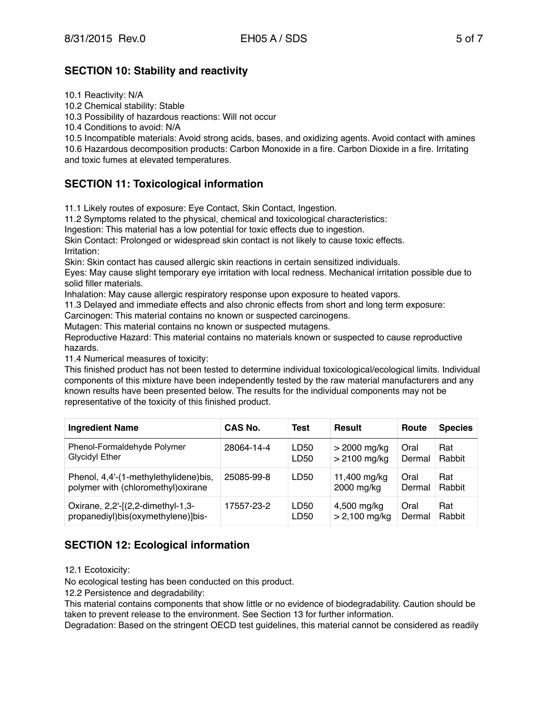# **SECTION 10: Stability and reactivity**

10.1 Reactivity: N/A

10.2 Chemical stability: Stable

10.3 Possibility of hazardous reactions: Will not occur

10.4 Conditions to avoid: N/A

10.5 Incompatible materials: Avoid strong acids, bases, and oxidizing agents. Avoid contact with amines 10.6 Hazardous decomposition products: Carbon Monoxide in a fire. Carbon Dioxide in a fire. Irritating and toxic fumes at elevated temperatures.

# **SECTION 11: Toxicological information**

11.1 Likely routes of exposure: Eye Contact, Skin Contact, Ingestion.

11.2 Symptoms related to the physical, chemical and toxicological characteristics:

Ingestion: This material has a low potential for toxic effects due to ingestion.

Skin Contact: Prolonged or widespread skin contact is not likely to cause toxic effects. Irritation:

Skin: Skin contact has caused allergic skin reactions in certain sensitized individuals.

Eyes: May cause slight temporary eye irritation with local redness. Mechanical irritation possible due to solid filler materials.

Inhalation: May cause allergic respiratory response upon exposure to heated vapors.

11.3 Delayed and immediate effects and also chronic effects from short and long term exposure:

Carcinogen: This material contains no known or suspected carcinogens.

Mutagen: This material contains no known or suspected mutagens.

Reproductive Hazard: This material contains no materials known or suspected to cause reproductive hazards.

11.4 Numerical measures of toxicity:

This finished product has not been tested to determine individual toxicological/ecological limits. Individual components of this mixture have been independently tested by the raw material manufacturers and any known results have been presented below. The results for the individual components may not be representative of the toxicity of this finished product.

| <b>Ingredient Name</b>                                                       | CAS No.    | <b>Test</b> | <b>Result</b>              | Route          | <b>Species</b> |
|------------------------------------------------------------------------------|------------|-------------|----------------------------|----------------|----------------|
| Phenol-Formaldehyde Polymer                                                  | 28064-14-4 | LD50        | $>$ 2000 mg/kg             | Oral           | Rat            |
| Glycidyl Ether                                                               |            | LD50        | $> 2100$ mg/kg             | Dermal         | Rabbit         |
| Phenol, 4,4'-(1-methylethylidene)bis,<br>polymer with (chloromethyl) oxirane | 25085-99-8 | LD50        | 11,400 mg/kg<br>2000 mg/kg | Oral<br>Dermal | Rat<br>Rabbit  |
| Oxirane, 2,2'-[(2,2-dimethyl-1,3-                                            | 17557-23-2 | LD50        | 4,500 mg/kg                | Oral           | Rat            |
| propanediyl)bis(oxymethylene)]bis-                                           |            | LD50        | $> 2,100$ mg/kg            | Dermal         | Rabbit         |

# **SECTION 12: Ecological information**

12.1 Ecotoxicity:

No ecological testing has been conducted on this product.

12.2 Persistence and degradability:

This material contains components that show little or no evidence of biodegradability. Caution should be taken to prevent release to the environment. See Section 13 for further information.

Degradation: Based on the stringent OECD test guidelines, this material cannot be considered as readily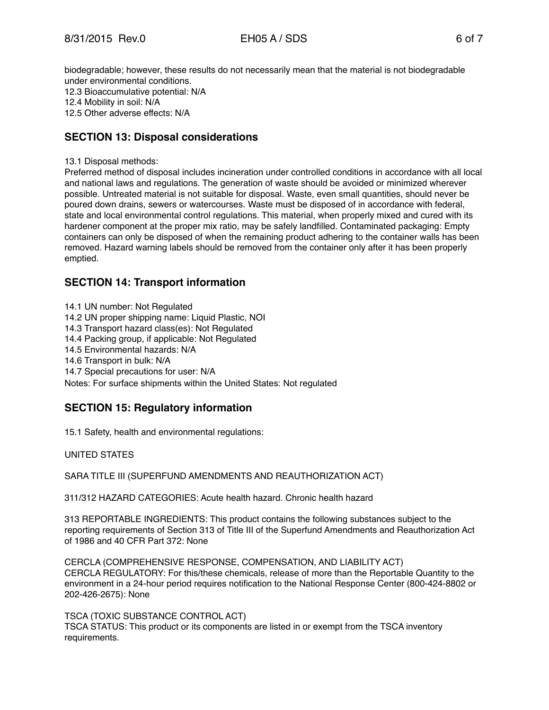biodegradable; however, these results do not necessarily mean that the material is not biodegradable under environmental conditions. 12.3 Bioaccumulative potential: N/A 12.4 Mobility in soil: N/A 12.5 Other adverse effects: N/A

## **SECTION 13: Disposal considerations**

13.1 Disposal methods:

Preferred method of disposal includes incineration under controlled conditions in accordance with all local and national laws and regulations. The generation of waste should be avoided or minimized wherever possible. Untreated material is not suitable for disposal. Waste, even small quantities, should never be poured down drains, sewers or watercourses. Waste must be disposed of in accordance with federal, state and local environmental control regulations. This material, when properly mixed and cured with its hardener component at the proper mix ratio, may be safely landfilled. Contaminated packaging: Empty containers can only be disposed of when the remaining product adhering to the container walls has been removed. Hazard warning labels should be removed from the container only after it has been properly emptied.

#### **SECTION 14: Transport information**

14.1 UN number: Not Regulated 14.2 UN proper shipping name: Liquid Plastic, NOI 14.3 Transport hazard class(es): Not Regulated 14.4 Packing group, if applicable: Not Regulated 14.5 Environmental hazards: N/A 14.6 Transport in bulk: N/A 14.7 Special precautions for user: N/A Notes: For surface shipments within the United States: Not regulated

# **SECTION 15: Regulatory information**

15.1 Safety, health and environmental regulations:

UNITED STATES

SARA TITLE III (SUPERFUND AMENDMENTS AND REAUTHORIZATION ACT)

311/312 HAZARD CATEGORIES: Acute health hazard. Chronic health hazard

313 REPORTABLE INGREDIENTS: This product contains the following substances subject to the reporting requirements of Section 313 of Title III of the Superfund Amendments and Reauthorization Act of 1986 and 40 CFR Part 372: None

CERCLA (COMPREHENSIVE RESPONSE, COMPENSATION, AND LIABILITY ACT) CERCLA REGULATORY: For this/these chemicals, release of more than the Reportable Quantity to the environment in a 24-hour period requires notification to the National Response Center (800-424-8802 or 202-426-2675): None

TSCA (TOXIC SUBSTANCE CONTROL ACT)

TSCA STATUS: This product or its components are listed in or exempt from the TSCA inventory requirements.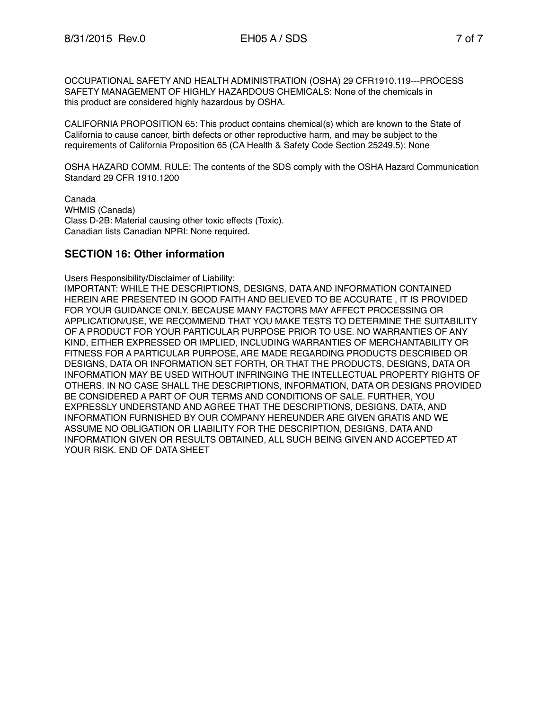OCCUPATIONAL SAFETY AND HEALTH ADMINISTRATION (OSHA) 29 CFR1910.119---PROCESS SAFETY MANAGEMENT OF HIGHLY HAZARDOUS CHEMICALS: None of the chemicals in this product are considered highly hazardous by OSHA.

CALIFORNIA PROPOSITION 65: This product contains chemical(s) which are known to the State of California to cause cancer, birth defects or other reproductive harm, and may be subject to the requirements of California Proposition 65 (CA Health & Safety Code Section 25249.5): None

OSHA HAZARD COMM. RULE: The contents of the SDS comply with the OSHA Hazard Communication Standard 29 CFR 1910.1200

Canada WHMIS (Canada) Class D-2B: Material causing other toxic effects (Toxic). Canadian lists Canadian NPRI: None required.

#### **SECTION 16: Other information**

Users Responsibility/Disclaimer of Liability: IMPORTANT: WHILE THE DESCRIPTIONS, DESIGNS, DATA AND INFORMATION CONTAINED HEREIN ARE PRESENTED IN GOOD FAITH AND BELIEVED TO BE ACCURATE , IT IS PROVIDED FOR YOUR GUIDANCE ONLY. BECAUSE MANY FACTORS MAY AFFECT PROCESSING OR APPLICATION/USE, WE RECOMMEND THAT YOU MAKE TESTS TO DETERMINE THE SUITABILITY OF A PRODUCT FOR YOUR PARTICULAR PURPOSE PRIOR TO USE. NO WARRANTIES OF ANY KIND, EITHER EXPRESSED OR IMPLIED, INCLUDING WARRANTIES OF MERCHANTABILITY OR FITNESS FOR A PARTICULAR PURPOSE, ARE MADE REGARDING PRODUCTS DESCRIBED OR DESIGNS, DATA OR INFORMATION SET FORTH, OR THAT THE PRODUCTS, DESIGNS, DATA OR INFORMATION MAY BE USED WITHOUT INFRINGING THE INTELLECTUAL PROPERTY RIGHTS OF OTHERS. IN NO CASE SHALL THE DESCRIPTIONS, INFORMATION, DATA OR DESIGNS PROVIDED BE CONSIDERED A PART OF OUR TERMS AND CONDITIONS OF SALE. FURTHER, YOU EXPRESSLY UNDERSTAND AND AGREE THAT THE DESCRIPTIONS, DESIGNS, DATA, AND INFORMATION FURNISHED BY OUR COMPANY HEREUNDER ARE GIVEN GRATIS AND WE ASSUME NO OBLIGATION OR LIABILITY FOR THE DESCRIPTION, DESIGNS, DATA AND INFORMATION GIVEN OR RESULTS OBTAINED, ALL SUCH BEING GIVEN AND ACCEPTED AT YOUR RISK. END OF DATA SHEET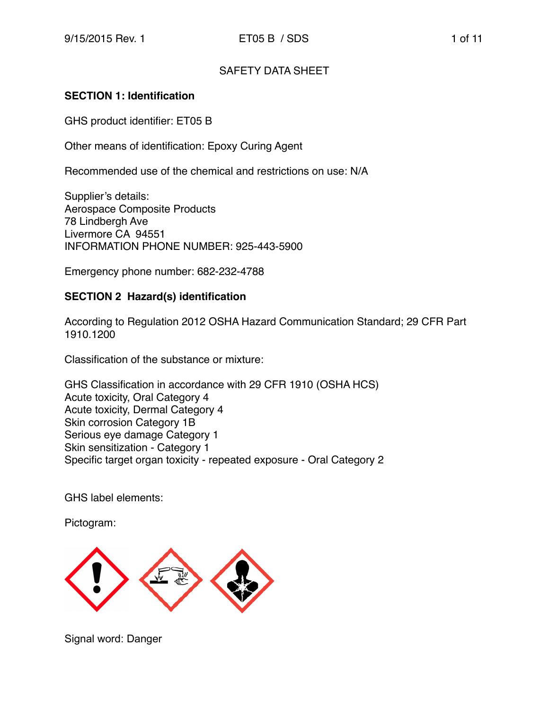## SAFETY DATA SHEET

## **SECTION 1: Identification**

GHS product identifier: ET05 B

Other means of identification: Epoxy Curing Agent

Recommended use of the chemical and restrictions on use: N/A

Supplier's details: Aerospace Composite Products 78 Lindbergh Ave Livermore CA 94551 INFORMATION PHONE NUMBER: 925-443-5900

Emergency phone number: 682-232-4788

## **SECTION 2 Hazard(s) identification**

According to Regulation 2012 OSHA Hazard Communication Standard; 29 CFR Part 1910.1200

Classification of the substance or mixture:

GHS Classification in accordance with 29 CFR 1910 (OSHA HCS) Acute toxicity, Oral Category 4 Acute toxicity, Dermal Category 4 Skin corrosion Category 1B Serious eye damage Category 1 Skin sensitization - Category 1 Specific target organ toxicity - repeated exposure - Oral Category 2

GHS label elements:

Pictogram:



Signal word: Danger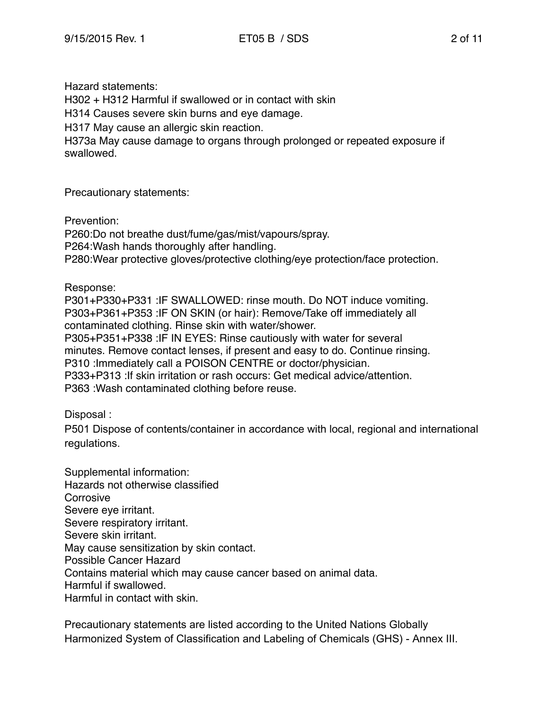Hazard statements:

H302 + H312 Harmful if swallowed or in contact with skin

H314 Causes severe skin burns and eye damage.

H317 May cause an allergic skin reaction.

H373a May cause damage to organs through prolonged or repeated exposure if swallowed.

Precautionary statements:

Prevention:

P260:Do not breathe dust/fume/gas/mist/vapours/spray. P264:Wash hands thoroughly after handling. P280:Wear protective gloves/protective clothing/eye protection/face protection.

Response:

P301+P330+P331 :IF SWALLOWED: rinse mouth. Do NOT induce vomiting. P303+P361+P353 :IF ON SKIN (or hair): Remove/Take off immediately all contaminated clothing. Rinse skin with water/shower. P305+P351+P338 :IF IN EYES: Rinse cautiously with water for several minutes. Remove contact lenses, if present and easy to do. Continue rinsing. P310 :Immediately call a POISON CENTRE or doctor/physician. P333+P313 :If skin irritation or rash occurs: Get medical advice/attention. P363 :Wash contaminated clothing before reuse.

Disposal :

P501 Dispose of contents/container in accordance with local, regional and international regulations.

Supplemental information: Hazards not otherwise classified **Corrosive** Severe eye irritant. Severe respiratory irritant. Severe skin irritant. May cause sensitization by skin contact. Possible Cancer Hazard Contains material which may cause cancer based on animal data. Harmful if swallowed. Harmful in contact with skin.

Precautionary statements are listed according to the United Nations Globally Harmonized System of Classification and Labeling of Chemicals (GHS) - Annex III.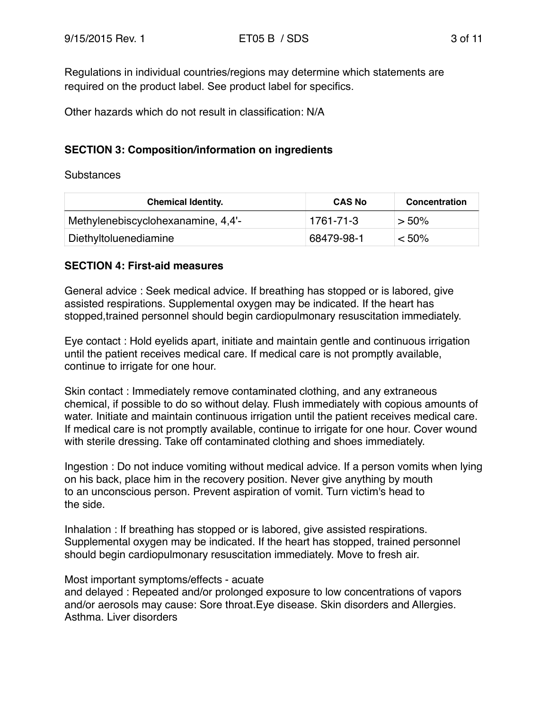Regulations in individual countries/regions may determine which statements are required on the product label. See product label for specifics.

Other hazards which do not result in classification: N/A

## **SECTION 3: Composition/information on ingredients**

#### Substances

| <b>Chemical Identity.</b>          | <b>CAS No</b> | Concentration |
|------------------------------------|---------------|---------------|
| Methylenebiscyclohexanamine, 4,4'- | 1761-71-3     | $> 50\%$      |
| Diethyltoluenediamine              | 68479-98-1    | $< 50\%$      |

## **SECTION 4: First-aid measures**

General advice : Seek medical advice. If breathing has stopped or is labored, give assisted respirations. Supplemental oxygen may be indicated. If the heart has stopped,trained personnel should begin cardiopulmonary resuscitation immediately.

Eye contact : Hold eyelids apart, initiate and maintain gentle and continuous irrigation until the patient receives medical care. If medical care is not promptly available, continue to irrigate for one hour.

Skin contact : Immediately remove contaminated clothing, and any extraneous chemical, if possible to do so without delay. Flush immediately with copious amounts of water. Initiate and maintain continuous irrigation until the patient receives medical care. If medical care is not promptly available, continue to irrigate for one hour. Cover wound with sterile dressing. Take off contaminated clothing and shoes immediately.

Ingestion : Do not induce vomiting without medical advice. If a person vomits when lying on his back, place him in the recovery position. Never give anything by mouth to an unconscious person. Prevent aspiration of vomit. Turn victim's head to the side.

Inhalation : If breathing has stopped or is labored, give assisted respirations. Supplemental oxygen may be indicated. If the heart has stopped, trained personnel should begin cardiopulmonary resuscitation immediately. Move to fresh air.

## Most important symptoms/effects - acuate

and delayed : Repeated and/or prolonged exposure to low concentrations of vapors and/or aerosols may cause: Sore throat.Eye disease. Skin disorders and Allergies. Asthma. Liver disorders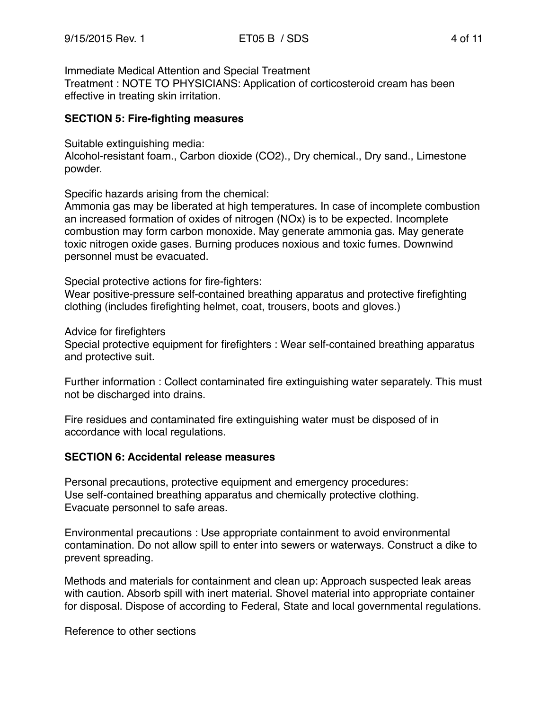Immediate Medical Attention and Special Treatment

Treatment : NOTE TO PHYSICIANS: Application of corticosteroid cream has been effective in treating skin irritation.

## **SECTION 5: Fire-fighting measures**

Suitable extinguishing media:

Alcohol-resistant foam., Carbon dioxide (CO2)., Dry chemical., Dry sand., Limestone powder.

Specific hazards arising from the chemical:

Ammonia gas may be liberated at high temperatures. In case of incomplete combustion an increased formation of oxides of nitrogen (NOx) is to be expected. Incomplete combustion may form carbon monoxide. May generate ammonia gas. May generate toxic nitrogen oxide gases. Burning produces noxious and toxic fumes. Downwind personnel must be evacuated.

Special protective actions for fire-fighters:

Wear positive-pressure self-contained breathing apparatus and protective firefighting clothing (includes firefighting helmet, coat, trousers, boots and gloves.)

Advice for firefighters

Special protective equipment for firefighters : Wear self-contained breathing apparatus and protective suit.

Further information : Collect contaminated fire extinguishing water separately. This must not be discharged into drains.

Fire residues and contaminated fire extinguishing water must be disposed of in accordance with local regulations.

## **SECTION 6: Accidental release measures**

Personal precautions, protective equipment and emergency procedures: Use self-contained breathing apparatus and chemically protective clothing. Evacuate personnel to safe areas.

Environmental precautions : Use appropriate containment to avoid environmental contamination. Do not allow spill to enter into sewers or waterways. Construct a dike to prevent spreading.

Methods and materials for containment and clean up: Approach suspected leak areas with caution. Absorb spill with inert material. Shovel material into appropriate container for disposal. Dispose of according to Federal, State and local governmental regulations.

Reference to other sections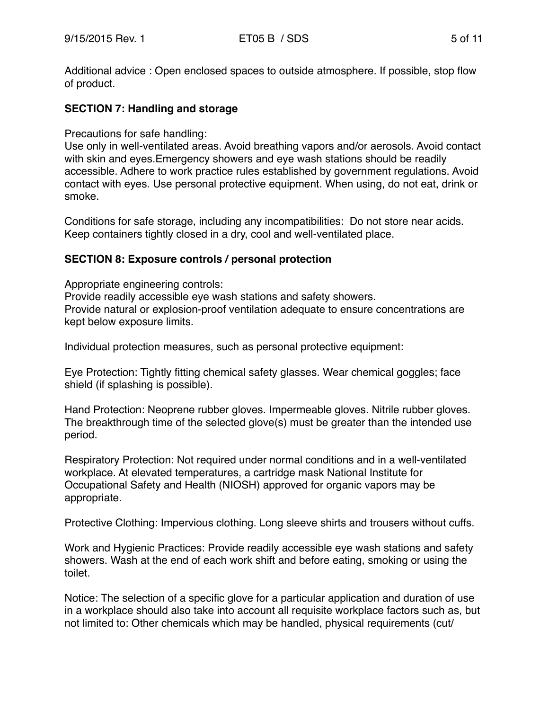Additional advice : Open enclosed spaces to outside atmosphere. If possible, stop flow of product.

## **SECTION 7: Handling and storage**

#### Precautions for safe handling:

Use only in well-ventilated areas. Avoid breathing vapors and/or aerosols. Avoid contact with skin and eyes.Emergency showers and eye wash stations should be readily accessible. Adhere to work practice rules established by government regulations. Avoid contact with eyes. Use personal protective equipment. When using, do not eat, drink or smoke.

Conditions for safe storage, including any incompatibilities: Do not store near acids. Keep containers tightly closed in a dry, cool and well-ventilated place.

## **SECTION 8: Exposure controls / personal protection**

Appropriate engineering controls: Provide readily accessible eye wash stations and safety showers. Provide natural or explosion-proof ventilation adequate to ensure concentrations are kept below exposure limits.

Individual protection measures, such as personal protective equipment:

Eye Protection: Tightly fitting chemical safety glasses. Wear chemical goggles; face shield (if splashing is possible).

Hand Protection: Neoprene rubber gloves. Impermeable gloves. Nitrile rubber gloves. The breakthrough time of the selected glove(s) must be greater than the intended use period.

Respiratory Protection: Not required under normal conditions and in a well-ventilated workplace. At elevated temperatures, a cartridge mask National Institute for Occupational Safety and Health (NIOSH) approved for organic vapors may be appropriate.

Protective Clothing: Impervious clothing. Long sleeve shirts and trousers without cuffs.

Work and Hygienic Practices: Provide readily accessible eye wash stations and safety showers. Wash at the end of each work shift and before eating, smoking or using the toilet.

Notice: The selection of a specific glove for a particular application and duration of use in a workplace should also take into account all requisite workplace factors such as, but not limited to: Other chemicals which may be handled, physical requirements (cut/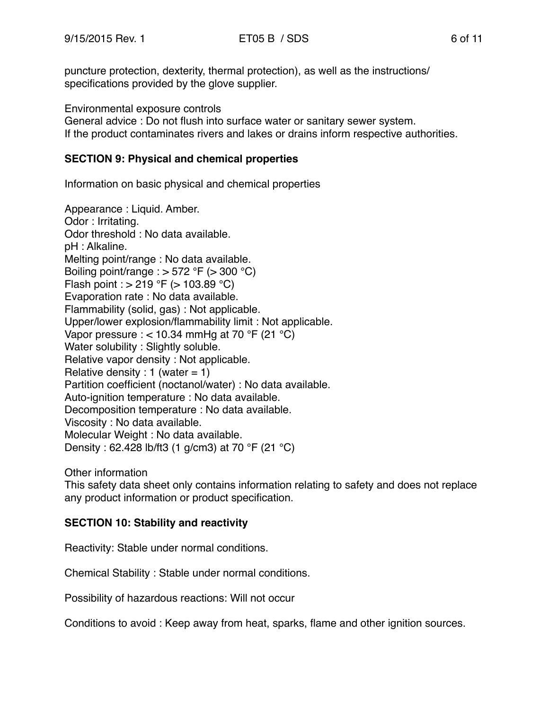puncture protection, dexterity, thermal protection), as well as the instructions/ specifications provided by the glove supplier.

Environmental exposure controls

General advice : Do not flush into surface water or sanitary sewer system. If the product contaminates rivers and lakes or drains inform respective authorities.

## **SECTION 9: Physical and chemical properties**

Information on basic physical and chemical properties

Appearance : Liquid. Amber. Odor : Irritating. Odor threshold : No data available. pH : Alkaline. Melting point/range : No data available. Boiling point/range :  $> 572$  °F ( $> 300$  °C) Flash point :  $> 219$  °F ( $> 103.89$  °C) Evaporation rate : No data available. Flammability (solid, gas) : Not applicable. Upper/lower explosion/flammability limit : Not applicable. Vapor pressure :  $<$  10.34 mmHg at 70 °F (21 °C) Water solubility : Slightly soluble. Relative vapor density : Not applicable. Relative density : 1 (water  $= 1$ ) Partition coefficient (noctanol/water) : No data available. Auto-ignition temperature : No data available. Decomposition temperature : No data available. Viscosity : No data available. Molecular Weight : No data available. Density : 62.428 lb/ft3 (1 g/cm3) at 70 °F (21 °C)

Other information

This safety data sheet only contains information relating to safety and does not replace any product information or product specification.

# **SECTION 10: Stability and reactivity**

Reactivity: Stable under normal conditions.

Chemical Stability : Stable under normal conditions.

Possibility of hazardous reactions: Will not occur

Conditions to avoid : Keep away from heat, sparks, flame and other ignition sources.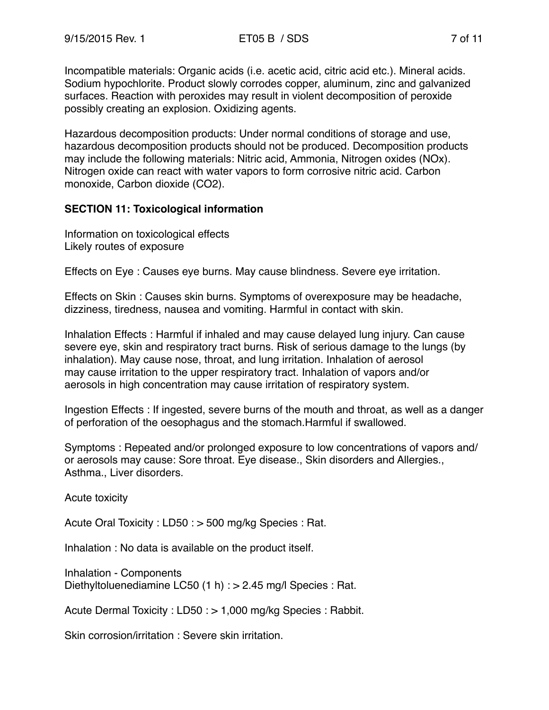Incompatible materials: Organic acids (i.e. acetic acid, citric acid etc.). Mineral acids. Sodium hypochlorite. Product slowly corrodes copper, aluminum, zinc and galvanized surfaces. Reaction with peroxides may result in violent decomposition of peroxide possibly creating an explosion. Oxidizing agents.

Hazardous decomposition products: Under normal conditions of storage and use, hazardous decomposition products should not be produced. Decomposition products may include the following materials: Nitric acid, Ammonia, Nitrogen oxides (NOx). Nitrogen oxide can react with water vapors to form corrosive nitric acid. Carbon monoxide, Carbon dioxide (CO2).

## **SECTION 11: Toxicological information**

Information on toxicological effects Likely routes of exposure

Effects on Eye : Causes eye burns. May cause blindness. Severe eye irritation.

Effects on Skin : Causes skin burns. Symptoms of overexposure may be headache, dizziness, tiredness, nausea and vomiting. Harmful in contact with skin.

Inhalation Effects : Harmful if inhaled and may cause delayed lung injury. Can cause severe eye, skin and respiratory tract burns. Risk of serious damage to the lungs (by inhalation). May cause nose, throat, and lung irritation. Inhalation of aerosol may cause irritation to the upper respiratory tract. Inhalation of vapors and/or aerosols in high concentration may cause irritation of respiratory system.

Ingestion Effects : If ingested, severe burns of the mouth and throat, as well as a danger of perforation of the oesophagus and the stomach.Harmful if swallowed.

Symptoms : Repeated and/or prolonged exposure to low concentrations of vapors and/ or aerosols may cause: Sore throat. Eye disease., Skin disorders and Allergies., Asthma., Liver disorders.

Acute toxicity

Acute Oral Toxicity : LD50 : > 500 mg/kg Species : Rat.

Inhalation : No data is available on the product itself.

Inhalation - Components Diethyltoluenediamine LC50 (1 h) : > 2.45 mg/l Species : Rat.

Acute Dermal Toxicity : LD50 : > 1,000 mg/kg Species : Rabbit.

Skin corrosion/irritation : Severe skin irritation.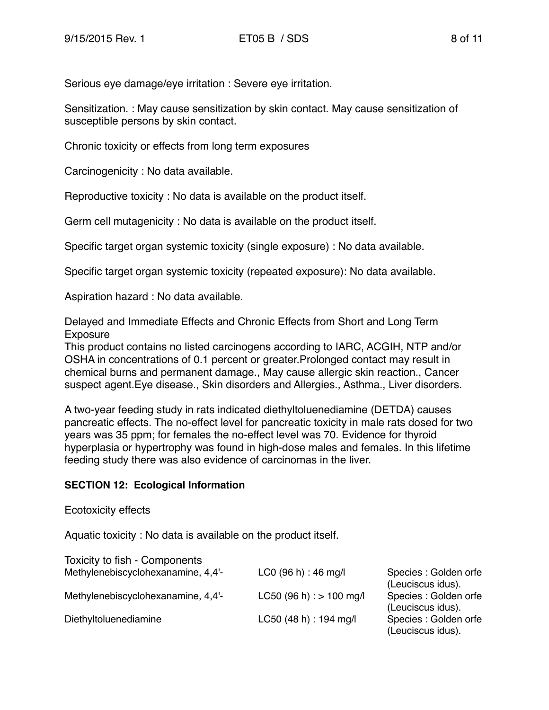Serious eye damage/eye irritation : Severe eye irritation.

Sensitization. : May cause sensitization by skin contact. May cause sensitization of susceptible persons by skin contact.

Chronic toxicity or effects from long term exposures

Carcinogenicity : No data available.

Reproductive toxicity : No data is available on the product itself.

Germ cell mutagenicity : No data is available on the product itself.

Specific target organ systemic toxicity (single exposure) : No data available.

Specific target organ systemic toxicity (repeated exposure): No data available.

Aspiration hazard : No data available.

Delayed and Immediate Effects and Chronic Effects from Short and Long Term Exposure

This product contains no listed carcinogens according to IARC, ACGIH, NTP and/or OSHA in concentrations of 0.1 percent or greater.Prolonged contact may result in chemical burns and permanent damage., May cause allergic skin reaction., Cancer suspect agent.Eye disease., Skin disorders and Allergies., Asthma., Liver disorders.

A two-year feeding study in rats indicated diethyltoluenediamine (DETDA) causes pancreatic effects. The no-effect level for pancreatic toxicity in male rats dosed for two years was 35 ppm; for females the no-effect level was 70. Evidence for thyroid hyperplasia or hypertrophy was found in high-dose males and females. In this lifetime feeding study there was also evidence of carcinomas in the liver.

#### **SECTION 12: Ecological Information**

#### Ecotoxicity effects

Aquatic toxicity : No data is available on the product itself.

| <b>Toxicity to fish - Components</b> |                              |                       |
|--------------------------------------|------------------------------|-----------------------|
| Methylenebiscyclohexanamine, 4,4'-   | $LCO$ (96 h) : 46 mg/l       | Species : Golden orfe |
|                                      |                              | (Leuciscus idus).     |
| Methylenebiscyclohexanamine, 4,4'-   | $LC50$ (96 h) : $> 100$ mg/l | Species: Golden orfe  |
|                                      |                              | (Leuciscus idus).     |
| Diethyltoluenediamine                | LC50 (48 h) : 194 mg/l       | Species : Golden orfe |
|                                      |                              | (Leuciscus idus).     |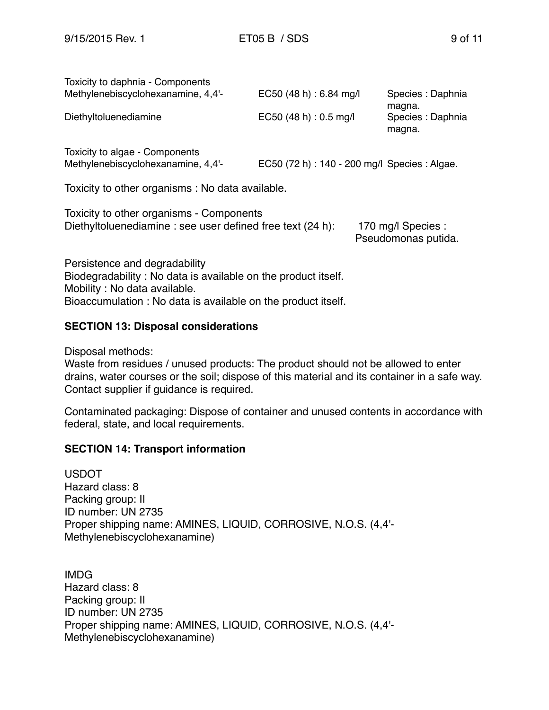| Toxicity to daphnia - Components                                                                       |                                               |                                           |
|--------------------------------------------------------------------------------------------------------|-----------------------------------------------|-------------------------------------------|
| Methylenebiscyclohexanamine, 4,4'-                                                                     | EC50 (48 h) : 6.84 mg/l                       | Species : Daphnia<br>magna.               |
| Diethyltoluenediamine                                                                                  | EC50 (48 h) : 0.5 mg/l                        | Species : Daphnia<br>magna.               |
| Toxicity to algae - Components<br>Methylenebiscyclohexanamine, 4,4'-                                   | EC50 (72 h) : 140 - 200 mg/l Species : Algae. |                                           |
| Toxicity to other organisms : No data available.                                                       |                                               |                                           |
| Toxicity to other organisms - Components<br>Diethyltoluenediamine : see user defined free text (24 h): |                                               | 170 mg/l Species :<br>Pseudomonas putida. |

Persistence and degradability Biodegradability : No data is available on the product itself. Mobility : No data available. Bioaccumulation : No data is available on the product itself.

#### **SECTION 13: Disposal considerations**

Disposal methods:

Waste from residues / unused products: The product should not be allowed to enter drains, water courses or the soil; dispose of this material and its container in a safe way. Contact supplier if guidance is required.

Contaminated packaging: Dispose of container and unused contents in accordance with federal, state, and local requirements.

#### **SECTION 14: Transport information**

USDOT Hazard class: 8 Packing group: II ID number: UN 2735 Proper shipping name: AMINES, LIQUID, CORROSIVE, N.O.S. (4,4'- Methylenebiscyclohexanamine)

IMDG Hazard class: 8 Packing group: II ID number: UN 2735 Proper shipping name: AMINES, LIQUID, CORROSIVE, N.O.S. (4,4'- Methylenebiscyclohexanamine)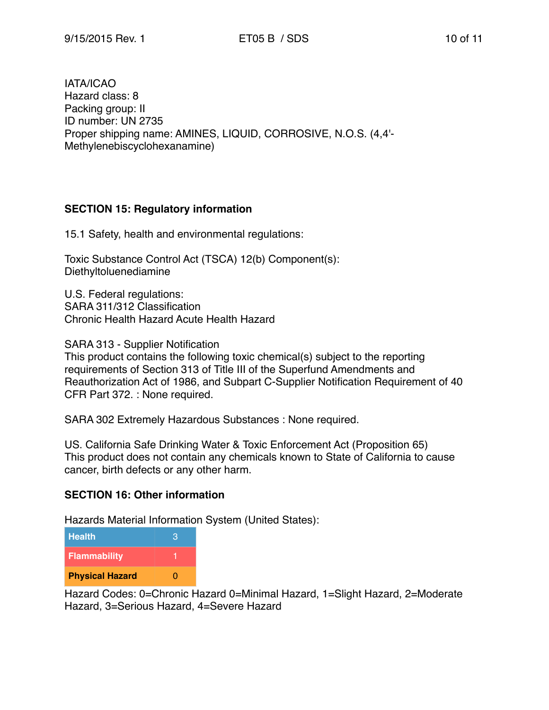IATA/ICAO Hazard class: 8 Packing group: II ID number: UN 2735 Proper shipping name: AMINES, LIQUID, CORROSIVE, N.O.S. (4,4'- Methylenebiscyclohexanamine)

# **SECTION 15: Regulatory information**

15.1 Safety, health and environmental regulations:

Toxic Substance Control Act (TSCA) 12(b) Component(s): Diethyltoluenediamine

U.S. Federal regulations: SARA 311/312 Classification Chronic Health Hazard Acute Health Hazard

SARA 313 - Supplier Notification

This product contains the following toxic chemical(s) subject to the reporting requirements of Section 313 of Title III of the Superfund Amendments and Reauthorization Act of 1986, and Subpart C-Supplier Notification Requirement of 40 CFR Part 372. : None required.

SARA 302 Extremely Hazardous Substances : None required.

US. California Safe Drinking Water & Toxic Enforcement Act (Proposition 65) This product does not contain any chemicals known to State of California to cause cancer, birth defects or any other harm.

# **SECTION 16: Other information**

Hazards Material Information System (United States):

| <b>Health</b>          | я |
|------------------------|---|
| <b>Flammability</b>    |   |
| <b>Physical Hazard</b> | n |

Hazard Codes: 0=Chronic Hazard 0=Minimal Hazard, 1=Slight Hazard, 2=Moderate Hazard, 3=Serious Hazard, 4=Severe Hazard